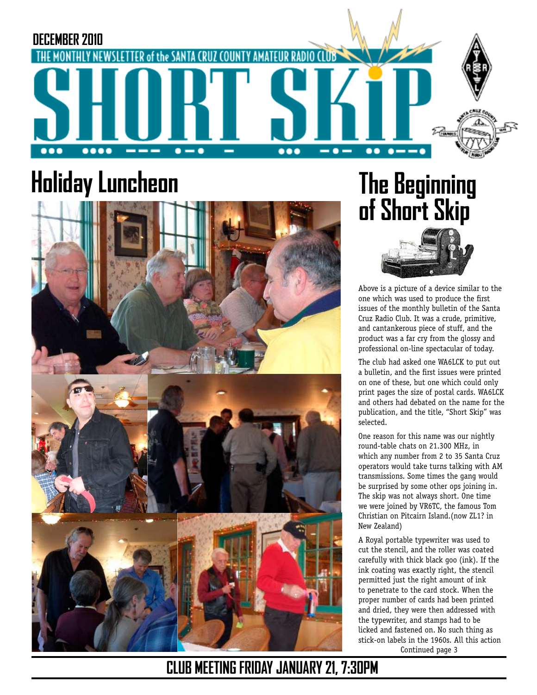

# **Holiday Luncheon**



# **The Beginning of Short Skip**



Above is a picture of a device similar to the one which was used to produce the first issues of the monthly bulletin of the Santa Cruz Radio Club. It was a crude, primitive, and cantankerous piece of stuff, and the product was a far cry from the glossy and professional on-line spectacular of today.

The club had asked one WA6LCK to put out a bulletin, and the first issues were printed on one of these, but one which could only print pages the size of postal cards. WA6LCK and others had debated on the name for the publication, and the title, "Short Skip" was selected.

One reason for this name was our nightly round-table chats on 21.300 MHz, in which any number from 2 to 35 Santa Cruz operators would take turns talking with AM transmissions. Some times the gang would be surprised by some other ops joining in. The skip was not always short. One time we were joined by VR6TC, the famous Tom Christian on Pitcairn Island.(now ZL1? in New Zealand)

Continued page 3 A Royal portable typewriter was used to cut the stencil, and the roller was coated carefully with thick black goo (ink). If the ink coating was exactly right, the stencil permitted just the right amount of ink to penetrate to the card stock. When the proper number of cards had been printed and dried, they were then addressed with the typewriter, and stamps had to be licked and fastened on. No such thing as stick-on labels in the 1960s. All this action

**CLUB MEETING FRIDAY JANUARY 21, 7:30PM**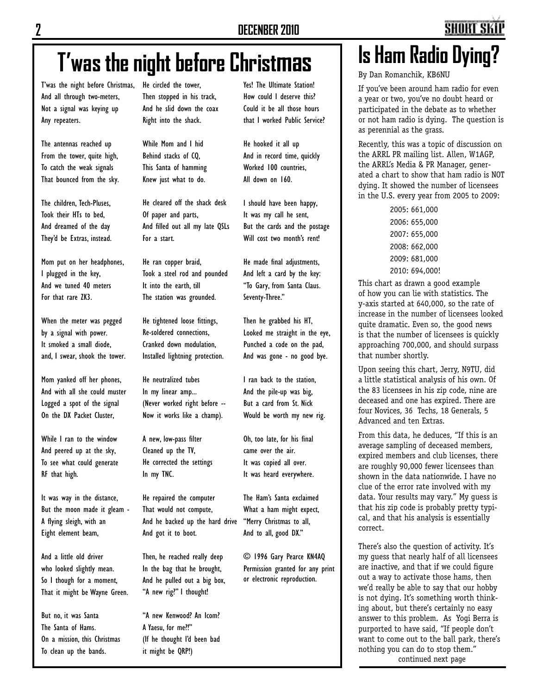Yes! The Ultimate Station! How could I deserve this? Could it be all those hours that I worked Public Service?

He hooked it all up And in record time, quickly Worked 100 countries, All down on 160.

I should have been happy, It was my call he sent, But the cards and the postage Will cost two month's rent!

He made final adjustments, And left a card by the key: "To Gary, from Santa Claus.

Then he grabbed his HT, Looked me straight in the eye, Punched a code on the pad, And was gone - no good bye.

I ran back to the station,

Seventy-Three."

By Dan Romanchik, KB6NU

If you've been around ham radio for even a year or two, you've no doubt heard or participated in the debate as to whether or not ham radio is dying. The question is as perennial as the grass.

Recently, this was a topic of discussion on the ARRL PR mailing list. Allen, W1AGP, the ARRL's Media & PR Manager, generated a chart to show that ham radio is NOT dying. It showed the number of licensees in the U.S. every year from 2005 to 2009:

> 2005: 661,000 2006: 655,000 2007: 655,000 2008: 662,000 2009: 681,000 2010: 694,000!

This chart as drawn a good example of how you can lie with statistics. The y-axis started at 640,000, so the rate of increase in the number of licensees looked quite dramatic. Even so, the good news is that the number of licensees is quickly approaching 700,000, and should surpass that number shortly.

Upon seeing this chart, Jerry, N9TU, did a little statistical analysis of his own. Of the 83 licensees in his zip code, nine are deceased and one has expired. There are four Novices, 36 Techs, 18 Generals, 5 Advanced and ten Extras.

From this data, he deduces, "If this is an average sampling of deceased members, expired members and club licenses, there are roughly 90,000 fewer licensees than shown in the data nationwide. I have no clue of the error rate involved with my data. Your results may vary." My guess is that his zip code is probably pretty typical, and that his analysis is essentially correct.

There's also the question of activity. It's my guess that nearly half of all licensees are inactive, and that if we could figure out a way to activate those hams, then we'd really be able to say that our hobby is not dying. It's something worth thinking about, but there's certainly no easy answer to this problem. As Yogi Berra is purported to have said, "If people don't want to come out to the ball park, there's nothing you can do to stop them." continued next page

# **T'was the night before Christmas**

T'was the night before Christmas, And all through two-meters, Not a signal was keying up Any repeaters.

The antennas reached up From the tower, quite high, To catch the weak signals That bounced from the sky.

The children, Tech-Pluses, Took their HTs to bed, And dreamed of the day They'd be Extras, instead.

Mom put on her headphones, I plugged in the key, And we tuned 40 meters For that rare ZK3.

When the meter was pegged by a signal with power. It smoked a small diode, and, I swear, shook the tower.

Mom yanked off her phones, And with all she could muster Logged a spot of the signal On the DX Packet Cluster,

While I ran to the window And peered up at the sky, To see what could generate RF that high.

It was way in the distance, But the moon made it gleam - A flying sleigh, with an Eight element beam,

And a little old driver who looked slightly mean. So I though for a moment, That it might be Wayne Green.

But no, it was Santa The Santa of Hams. On a mission, this Christmas To clean up the bands.

He circled the tower, Then stopped in his track, And he slid down the coax Right into the shack.

While Mom and I hid Behind stacks of CQ, This Santa of hamming Knew just what to do.

He cleared off the shack desk Of paper and parts, And filled out all my late QSLs For a start.

He ran copper braid, Took a steel rod and pounded It into the earth, till The station was grounded.

He tightened loose fittings, Re-soldered connections, Cranked down modulation, Installed lightning protection.

He neutralized tubes In my linear amp... (Never worked right before -- Now it works like a champ).

A new, low-pass filter Cleaned up the TV, He corrected the settings In my TNC.

He repaired the computer That would not compute, And he backed up the hard drive And got it to boot.

Then, he reached really deep In the bag that he brought, And he pulled out a big box, "A new rig?" I thought!

"A new Kenwood? An Icom? A Yaesu, for me?!" (If he thought I'd been bad it might be QRP!)

And the pile-up was big, But a card from St. Nick Would be worth my new rig. Oh, too late, for his final came over the air.

It was copied all over. It was heard everywhere.

The Ham's Santa exclaimed What a ham might expect, "Merry Christmas to all, And to all, good DX."

© 1996 Gary Pearce KN4AQ Permission granted for any print or electronic reproduction.

# **Is Ham Radio Dying?**

**SHORT SI**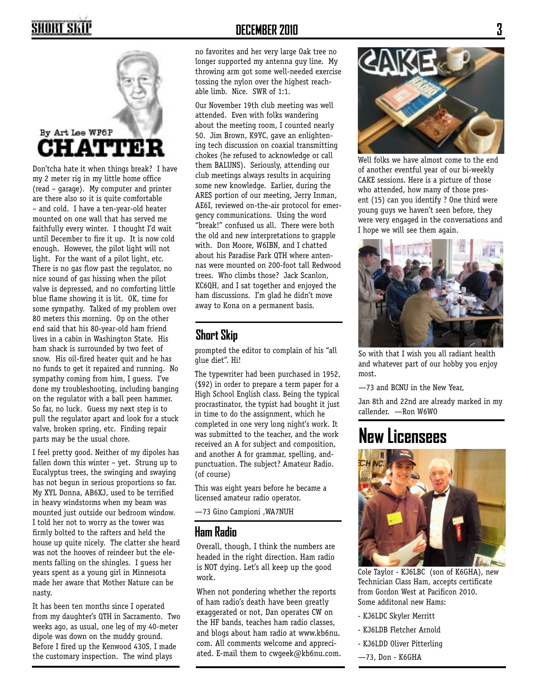## SHORT SKII



Don'tcha hate it when things break? I have my 2 meter rig in my little home office (read – garage). My computer and printer are there also so it is quite comfortable – and cold. I have a ten-year-old heater mounted on one wall that has served me faithfully every winter. I thought I'd wait until December to fire it up. It is now cold enough. However, the pilot light will not light. For the want of a pilot light, etc. There is no gas flow past the regulator, no nice sound of gas hissing when the pilot valve is depressed, and no comforting little blue flame showing it is lit. OK, time for some sympathy. Talked of my problem over 80 meters this morning. Op on the other end said that his 80-year-old ham friend lives in a cabin in Washington State. His ham shack is surrounded by two feet of snow. His oil-fired heater quit and he has no funds to get it repaired and running. No sympathy coming from him, I guess. I've done my troubleshooting, including banging on the regulator with a ball peen hammer. So far, no luck. Guess my next step is to pull the regulator apart and look for a stuck valve, broken spring, etc. Finding repair parts may be the usual chore.

I feel pretty good. Neither of my dipoles has fallen down this winter – yet. Strung up to Eucalyptus trees, the swinging and swaying has not begun in serious proportions so far. My XYL Donna, AB6XJ, used to be terrified in heavy windstorms when my beam was mounted just outside our bedroom window. I told her not to worry as the tower was firmly bolted to the rafters and held the house up quite nicely. The clatter she heard was not the hooves of reindeer but the elements falling on the shingles. I guess her years spent as a young girl in Minnesota made her aware that Mother Nature can be nasty.

It has been ten months since I operated from my daughter's QTH in Sacramento. Two weeks ago, as usual, one leg of my 40-meter dipole was down on the muddy ground. Before I fired up the Kenwood 430S, I made the customary inspection. The wind plays

### **DECEMBER 2010**

no favorites and her very large Oak tree no longer supported my antenna guy line. My throwing arm got some well-needed exercise tossing the nylon over the highest reachable limb. Nice. SWR of 1:1.

Our November 19th club meeting was well attended. Even with folks wandering about the meeting room, I counted nearly 50. Jim Brown, K9YC, gave an enlightening tech discussion on coaxial transmitting chokes (he refused to acknowledge or call them BALUNS). Seriously, attending our club meetings always results in acquiring some new knowledge. Earlier, during the ARES portion of our meeting, Jerry Inman, AE6I, reviewed on-the-air protocol for emergency communications. Using the word "break!" confused us all. There were both the old and new interpretations to grapple with. Don Moore, W6IBN, and I chatted about his Paradise Park QTH where antennas were mounted on 200-foot tall Redwood trees. Who climbs those? Jack Scanlon, KC6QH, and I sat together and enjoyed the ham discussions. I'm glad he didn't move away to Kona on a permanent basis.

### **Short Skip**

prompted the editor to complain of his "all glue diet". Hi!

The typewriter had been purchased in 1952, (\$92) in order to prepare a term paper for a High School English class. Being the typical procrastinator, the typist had bought it just in time to do the assignment, which he completed in one very long night's work. It was submitted to the teacher, and the work received an A for subject and composition, and another A for grammar, spelling, andpunctuation. The subject? Amateur Radio. (of course)

This was eight years before he became a licensed amateur radio operator.

—73 Gino Campioni ,WA7NUH

### **Ham Radio**

Overall, though, I think the numbers are headed in the right direction. Ham radio is NOT dying. Let's all keep up the good work.

When not pondering whether the reports of ham radio's death have been greatly exaggerated or not, Dan operates CW on the HF bands, teaches ham radio classes, and blogs about ham radio at www.kb6nu. com. All comments welcome and appreciated. E-mail them to cwgeek@kb6nu.com.



Well folks we have almost come to the end of another eventful year of our bi-weekly CAKE sessions. Here is a picture of those who attended, how many of those present (15) can you identify ? One third were young guys we haven't seen before, they were very engaged in the conversations and I hope we will see them again.



So with that I wish you all radiant health and whatever part of our hobby you enjoy most.

—73 and BCNU in the New Year,

Jan 8th and 22nd are already marked in my callender. —Ron W6WO

### **New Licensees**



Some additonal new Hams: Cole Taylor - KJ6LBC (son of K6GHA), new Technician Class Ham, accepts certificate from Gordon West at Pacificon 2010.

- KJ6LDC Skyler Merritt
- KJ6LDB Fletcher Arnold
- KJ6LDD Oliver Pitterling
- —73, Don K6GHA